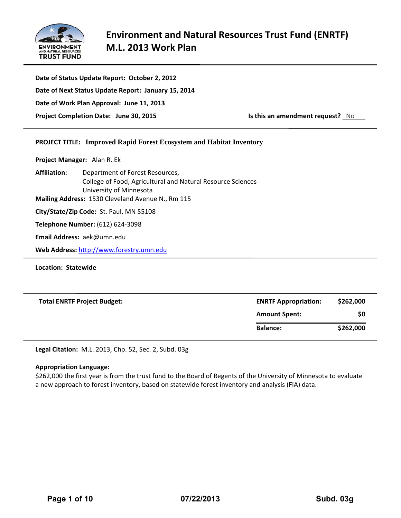

| Date of Status Update Report: October 2, 2012       |                                         |
|-----------------------------------------------------|-----------------------------------------|
| Date of Next Status Update Report: January 15, 2014 |                                         |
| Date of Work Plan Approval: June 11, 2013           |                                         |
| Project Completion Date: June 30, 2015              | <b>Is this an amendment request?</b> No |

## **PROJECT TITLE: Improved Rapid Forest Ecosystem and Habitat Inventory**

**Project Manager:**  Alan R. Ek

**Affiliation:** Department of Forest Resources, College of Food, Agricultural and Natural Resource Sciences University of Minnesota **Mailing Address:** 1530 Cleveland Avenue N., Rm 115

**City/State/Zip Code:** St. Paul, MN 55108

**Telephone Number:** (612) 624‐3098

**Email Address:** aek@umn.edu

**Web Address:** http://www.forestry.umn.edu

**Location: Statewide**

| <b>Total ENRTF Project Budget:</b> | <b>ENRTF Appropriation:</b> | \$262,000 |
|------------------------------------|-----------------------------|-----------|
|                                    | <b>Amount Spent:</b>        | \$0       |
|                                    | <b>Balance:</b>             | \$262,000 |

**Legal Citation:** M.L. 2013, Chp. 52, Sec. 2, Subd. 03g

#### **Appropriation Language:**

\$262,000 the first year is from the trust fund to the Board of Regents of the University of Minnesota to evaluate a new approach to forest inventory, based on statewide forest inventory and analysis (FIA) data.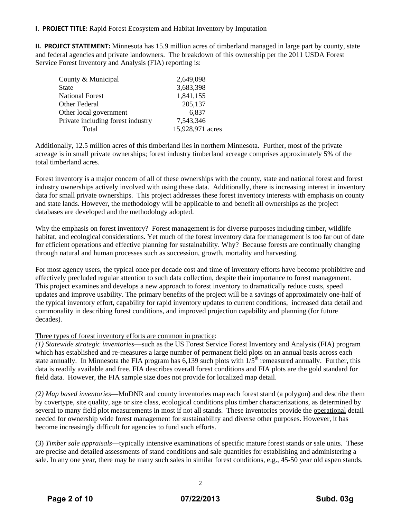**I. PROJECT TITLE:** Rapid Forest Ecosystem and Habitat Inventory by Imputation

**II. PROJECT STATEMENT:** Minnesota has 15.9 million acres of timberland managed in large part by county, state and federal agencies and private landowners. The breakdown of this ownership per the 2011 USDA Forest Service Forest Inventory and Analysis (FIA) reporting is:

| County & Municipal                | 2,649,098        |
|-----------------------------------|------------------|
| <b>State</b>                      | 3,683,398        |
| <b>National Forest</b>            | 1,841,155        |
| Other Federal                     | 205,137          |
| Other local government            | 6,837            |
| Private including forest industry | 7,543,346        |
| Total                             | 15,928,971 acres |

Additionally, 12.5 million acres of this timberland lies in northern Minnesota. Further, most of the private acreage is in small private ownerships; forest industry timberland acreage comprises approximately 5% of the total timberland acres.

Forest inventory is a major concern of all of these ownerships with the county, state and national forest and forest industry ownerships actively involved with using these data. Additionally, there is increasing interest in inventory data for small private ownerships. This project addresses these forest inventory interests with emphasis on county and state lands. However, the methodology will be applicable to and benefit all ownerships as the project databases are developed and the methodology adopted.

Why the emphasis on forest inventory? Forest management is for diverse purposes including timber, wildlife habitat, and ecological considerations. Yet much of the forest inventory data for management is too far out of date for efficient operations and effective planning for sustainability. Why? Because forests are continually changing through natural and human processes such as succession, growth, mortality and harvesting.

For most agency users, the typical once per decade cost and time of inventory efforts have become prohibitive and effectively precluded regular attention to such data collection, despite their importance to forest management. This project examines and develops a new approach to forest inventory to dramatically reduce costs, speed updates and improve usability. The primary benefits of the project will be a savings of approximately one-half of the typical inventory effort, capability for rapid inventory updates to current conditions, increased data detail and commonality in describing forest conditions, and improved projection capability and planning (for future decades).

## Three types of forest inventory efforts are common in practice:

*(1) Statewide strategic inventories*—such as the US Forest Service Forest Inventory and Analysis (FIA) program which has established and re-measures a large number of permanent field plots on an annual basis across each state annually. In Minnesota the FIA program has 6,139 such plots with  $1/5<sup>th</sup>$  remeasured annually. Further, this data is readily available and free. FIA describes overall forest conditions and FIA plots are the gold standard for field data. However, the FIA sample size does not provide for localized map detail.

*(2) Map based inventories*—MnDNR and county inventories map each forest stand (a polygon) and describe them by covertype, site quality, age or size class, ecological conditions plus timber characterizations, as determined by several to many field plot measurements in most if not all stands. These inventories provide the operational detail needed for ownership wide forest management for sustainability and diverse other purposes. However, it has become increasingly difficult for agencies to fund such efforts.

(3) *Timber sale appraisals*—typically intensive examinations of specific mature forest stands or sale units. These are precise and detailed assessments of stand conditions and sale quantities for establishing and administering a sale. In any one year, there may be many such sales in similar forest conditions, e.g., 45-50 year old aspen stands.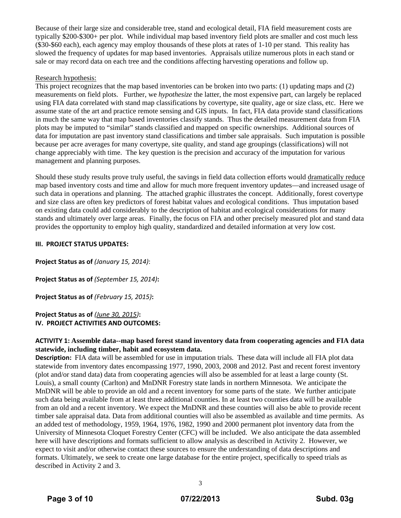Because of their large size and considerable tree, stand and ecological detail, FIA field measurement costs are typically \$200-\$300+ per plot. While individual map based inventory field plots are smaller and cost much less (\$30-\$60 each), each agency may employ thousands of these plots at rates of 1-10 per stand. This reality has slowed the frequency of updates for map based inventories. Appraisals utilize numerous plots in each stand or sale or may record data on each tree and the conditions affecting harvesting operations and follow up.

## Research hypothesis:

This project recognizes that the map based inventories can be broken into two parts: (1) updating maps and (2) measurements on field plots. Further, we *hypothesize* the latter, the most expensive part, can largely be replaced using FIA data correlated with stand map classifications by covertype, site quality, age or size class, etc. Here we assume state of the art and practice remote sensing and GIS inputs. In fact, FIA data provide stand classifications in much the same way that map based inventories classify stands. Thus the detailed measurement data from FIA plots may be imputed to "similar" stands classified and mapped on specific ownerships. Additional sources of data for imputation are past inventory stand classifications and timber sale appraisals. Such imputation is possible because per acre averages for many covertype, site quality, and stand age groupings (classifications) will not change appreciably with time. The key question is the precision and accuracy of the imputation for various management and planning purposes.

Should these study results prove truly useful, the savings in field data collection efforts would dramatically reduce map based inventory costs and time and allow for much more frequent inventory updates—and increased usage of such data in operations and planning. The attached graphic illustrates the concept. Additionally, forest covertype and size class are often key predictors of forest habitat values and ecological conditions. Thus imputation based on existing data could add considerably to the description of habitat and ecological considerations for many stands and ultimately over large areas. Finally, the focus on FIA and other precisely measured plot and stand data provides the opportunity to employ high quality, standardized and detailed information at very low cost.

### **III. PROJECT STATUS UPDATES:**

**Project Status as of** *(January 15, 2014)*:

**Project Status as of** *(September 15, 2014)***:**

**Project Status as of** *(February 15, 2015)***:**

**Project Status as of** *(June 30, 2015)***: IV. PROJECT ACTIVITIES AND OUTCOMES:**

## **ACTIVITY 1: Assemble data--map based forest stand inventory data from cooperating agencies and FIA data statewide, including timber, habit and ecosystem data.**

**Description:** FIA data will be assembled for use in imputation trials. These data will include all FIA plot data statewide from inventory dates encompassing 1977, 1990, 2003, 2008 and 2012. Past and recent forest inventory (plot and/or stand data) data from cooperating agencies will also be assembled for at least a large county (St. Louis), a small county (Carlton) and MnDNR Forestry state lands in northern Minnesota. We anticipate the MnDNR will be able to provide an old and a recent inventory for some parts of the state. We further anticipate such data being available from at least three additional counties. In at least two counties data will be available from an old and a recent inventory. We expect the MnDNR and these counties will also be able to provide recent timber sale appraisal data. Data from additional counties will also be assembled as available and time permits. As an added test of methodology, 1959, 1964, 1976, 1982, 1990 and 2000 permanent plot inventory data from the University of Minnesota Cloquet Forestry Center (CFC) will be included. We also anticipate the data assembled here will have descriptions and formats sufficient to allow analysis as described in Activity 2. However, we expect to visit and/or otherwise contact these sources to ensure the understanding of data descriptions and formats. Ultimately, we seek to create one large database for the entire project, specifically to speed trials as described in Activity 2 and 3.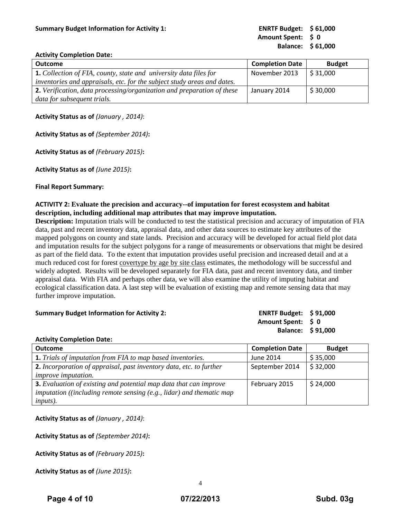**Amount Spent: \$ 0 Balance: \$ 61,000**

#### **Activity Completion Date:**

| <b>Outcome</b>                                                           | <b>Completion Date</b> | <b>Budget</b>           |
|--------------------------------------------------------------------------|------------------------|-------------------------|
| <b>1.</b> Collection of FIA, county, state and university data files for | November 2013          | $\frac{1}{2}$ \$ 31,000 |
| inventories and appraisals, etc. for the subject study areas and dates.  |                        |                         |
| 2. Verification, data processing/organization and preparation of these   | January 2014           | $\frac{1}{2}$ \$ 30,000 |
| data for subsequent trials.                                              |                        |                         |

## **Activity Status as of** *(January , 2014)*:

**Activity Status as of** *(September 2014)***:**

**Activity Status as of** *(February 2015)***:**

**Activity Status as of** *(June 2015)***:**

### **Final Report Summary:**

## **ACTIVITY 2: Evaluate the precision and accuracy--of imputation for forest ecosystem and habitat description, including additional map attributes that may improve imputation.**

**Description:** Imputation trials will be conducted to test the statistical precision and accuracy of imputation of FIA data, past and recent inventory data, appraisal data, and other data sources to estimate key attributes of the mapped polygons on county and state lands. Precision and accuracy will be developed for actual field plot data and imputation results for the subject polygons for a range of measurements or observations that might be desired as part of the field data. To the extent that imputation provides useful precision and increased detail and at a much reduced cost for forest covertype by age by site class estimates, the methodology will be successful and widely adopted. Results will be developed separately for FIA data, past and recent inventory data, and timber appraisal data. With FIA and perhaps other data, we will also examine the utility of imputing habitat and ecological classification data. A last step will be evaluation of existing map and remote sensing data that may further improve imputation.

# **Summary Budget Information for Activity 2: ENRTF Budget: \$ 91,000 Amount Spent: \$ 0 Balance: \$ 91,000**

## **Activity Completion Date:**

| <b>Outcome</b>                                                                             | <b>Completion Date</b> | <b>Budget</b> |
|--------------------------------------------------------------------------------------------|------------------------|---------------|
| <b>1.</b> Trials of imputation from FIA to map based inventories.                          | June 2014              | \$35,000      |
| <b>2.</b> Incorporation of appraisal, past inventory data, etc. to further                 | September 2014         | \$32,000      |
| <i>improve imputation.</i>                                                                 |                        |               |
| <b>3.</b> Evaluation of existing and potential map data that can improve                   | February 2015          | \$24,000      |
| <i>imputation</i> ( <i>(including remote sensing (e.g., lidar)</i> and <i>thematic map</i> |                        |               |
| <i>inputs</i> ).                                                                           |                        |               |

**Activity Status as of** *(January , 2014)*:

**Activity Status as of** *(September 2014)***:**

**Activity Status as of** *(February 2015)***:**

**Activity Status as of** *(June 2015)***:**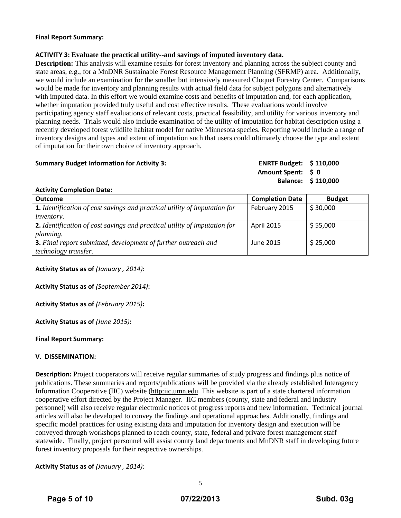#### **Final Report Summary:**

### **ACTIVITY 3: Evaluate the practical utility--and savings of imputed inventory data.**

**Description:** This analysis will examine results for forest inventory and planning across the subject county and state areas, e.g., for a MnDNR Sustainable Forest Resource Management Planning (SFRMP) area. Additionally, we would include an examination for the smaller but intensively measured Cloquet Forestry Center. Comparisons would be made for inventory and planning results with actual field data for subject polygons and alternatively with imputed data. In this effort we would examine costs and benefits of imputation and, for each application, whether imputation provided truly useful and cost effective results. These evaluations would involve participating agency staff evaluations of relevant costs, practical feasibility, and utility for various inventory and planning needs. Trials would also include examination of the utility of imputation for habitat description using a recently developed forest wildlife habitat model for native Minnesota species. Reporting would include a range of inventory designs and types and extent of imputation such that users could ultimately choose the type and extent of imputation for their own choice of inventory approach.

#### **Summary Budget Information for Activity 3:**

| <b>ENRTF Budget:</b> | \$110,000 |
|----------------------|-----------|
| <b>Amount Spent:</b> | S O       |
| <b>Balance:</b>      | \$110,000 |

#### **Activity Completion Date:**

| <b>Outcome</b>                                                                   | <b>Completion Date</b> | <b>Budget</b> |
|----------------------------------------------------------------------------------|------------------------|---------------|
| <b>1.</b> Identification of cost savings and practical utility of imputation for | February 2015          | \$30,000      |
| <i>inventory.</i>                                                                |                        |               |
| 2. Identification of cost savings and practical utility of imputation for        | <b>April 2015</b>      | \$55,000      |
| <i>planning.</i>                                                                 |                        |               |
| <b>3.</b> Final report submitted, development of further outreach and            | June 2015              | \$25,000      |
| technology transfer.                                                             |                        |               |

**Activity Status as of** *(January , 2014)*:

**Activity Status as of** *(September 2014)***:**

**Activity Status as of** *(February 2015)***:**

**Activity Status as of** *(June 2015)***:**

## **Final Report Summary:**

## **V. DISSEMINATION:**

**Description:** Project cooperators will receive regular summaries of study progress and findings plus notice of publications. These summaries and reports/publications will be provided via the already established Interagency Information Cooperative (IIC) website (http:iic.umn.edu. This website is part of a state chartered information cooperative effort directed by the Project Manager. IIC members (county, state and federal and industry personnel) will also receive regular electronic notices of progress reports and new information. Technical journal articles will also be developed to convey the findings and operational approaches. Additionally, findings and specific model practices for using existing data and imputation for inventory design and execution will be conveyed through workshops planned to reach county, state, federal and private forest management staff statewide. Finally, project personnel will assist county land departments and MnDNR staff in developing future forest inventory proposals for their respective ownerships.

**Activity Status as of** *(January , 2014)*: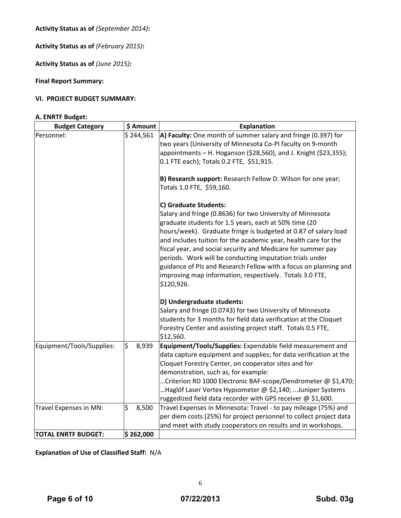**Activity Status as of** *(September 2014)***:**

**Activity Status as of** *(February 2015)***:**

**Activity Status as of** *(June 2015)***:**

## **Final Report Summary:**

## **VI. PROJECT BUDGET SUMMARY:**

## **A. ENRTF Budget:**

| <b>Budget Category</b>     | \$ Amount   | <b>Explanation</b>                                                                                                                                                                                                                                                                                                                                                                                                                                                                                                                  |
|----------------------------|-------------|-------------------------------------------------------------------------------------------------------------------------------------------------------------------------------------------------------------------------------------------------------------------------------------------------------------------------------------------------------------------------------------------------------------------------------------------------------------------------------------------------------------------------------------|
| Personnel:                 | \$244,561   | $\vert$ A) Faculty: One month of summer salary and fringe (0.397) for<br>two years (University of Minnesota Co-PI faculty on 9-month<br>appointments - H. Hoganson (\$28,560), and J. Knight (\$23,355);<br>0.1 FTE each); Totals 0.2 FTE, \$51,915.                                                                                                                                                                                                                                                                                |
|                            |             | B) Research support: Research Fellow D. Wilson for one year;<br>Totals 1.0 FTE, \$59,160.                                                                                                                                                                                                                                                                                                                                                                                                                                           |
|                            |             | C) Graduate Students:                                                                                                                                                                                                                                                                                                                                                                                                                                                                                                               |
|                            |             | Salary and fringe (0.8636) for two University of Minnesota<br>graduate students for 1.5 years, each at 50% time (20<br>hours/week). Graduate fringe is budgeted at 0.87 of salary load<br>and includes tuition for the academic year, health care for the<br>fiscal year, and social security and Medicare for summer pay<br>periods. Work will be conducting imputation trials under<br>guidance of PIs and Research Fellow with a focus on planning and<br>improving map information, respectively. Totals 3.0 FTE,<br>\$120,926. |
|                            |             | D) Undergraduate students:                                                                                                                                                                                                                                                                                                                                                                                                                                                                                                          |
|                            |             | Salary and fringe (0.0743) for two University of Minnesota                                                                                                                                                                                                                                                                                                                                                                                                                                                                          |
|                            |             | students for 3 months for field data verification at the Cloquet                                                                                                                                                                                                                                                                                                                                                                                                                                                                    |
|                            |             | Forestry Center and assisting project staff. Totals 0.5 FTE,<br>\$12,560.                                                                                                                                                                                                                                                                                                                                                                                                                                                           |
| Equipment/Tools/Supplies:  | \$<br>8,939 | Equipment/Tools/Supplies: Expendable field measurement and<br>data capture equipment and supplies; for data verification at the<br>Cloquet Forestry Center, on cooperator sites and for<br>demonstration, such as, for example:                                                                                                                                                                                                                                                                                                     |
|                            |             | Criterion RD 1000 Electronic BAF-scope/Dendrometer @ \$1,470;                                                                                                                                                                                                                                                                                                                                                                                                                                                                       |
|                            |             | Haglöf Laser Vertex Hypsometer @ \$2,140; Juniper Systems<br>ruggedized field data recorder with GPS receiver @ \$1,600.                                                                                                                                                                                                                                                                                                                                                                                                            |
| Travel Expenses in MN:     | \$<br>8,500 | Travel Expenses in Minnesota: Travel - to pay mileage (75%) and                                                                                                                                                                                                                                                                                                                                                                                                                                                                     |
|                            |             | per diem costs (25%) for project personnel to collect project data                                                                                                                                                                                                                                                                                                                                                                                                                                                                  |
|                            |             | and meet with study cooperators on results and in workshops.                                                                                                                                                                                                                                                                                                                                                                                                                                                                        |
| <b>TOTAL ENRTF BUDGET:</b> | \$262,000   |                                                                                                                                                                                                                                                                                                                                                                                                                                                                                                                                     |

**Explanation of Use of Classified Staff:** N/A

6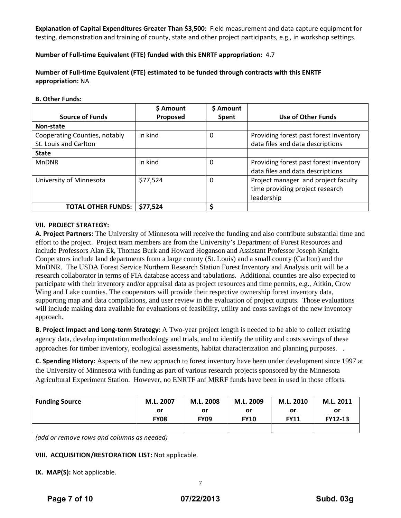**Explanation of Capital Expenditures Greater Than \$3,500:** Field measurement and data capture equipment for testing, demonstration and training of county, state and other project participants, e.g., in workshop settings.

**Number of Full‐time Equivalent (FTE) funded with this ENRTF appropriation:** 4.7

**Number of Full‐time Equivalent (FTE) estimated to be funded through contracts with this ENRTF appropriation:** NA

#### **B. Other Funds:**

|                               | <b>S</b> Amount | \$ Amount    |                                        |
|-------------------------------|-----------------|--------------|----------------------------------------|
| <b>Source of Funds</b>        | Proposed        | <b>Spent</b> | Use of Other Funds                     |
| Non-state                     |                 |              |                                        |
| Cooperating Counties, notably | In kind         | 0            | Providing forest past forest inventory |
| St. Louis and Carlton         |                 |              | data files and data descriptions       |
| <b>State</b>                  |                 |              |                                        |
| <b>MnDNR</b>                  | In kind         | $\Omega$     | Providing forest past forest inventory |
|                               |                 |              | data files and data descriptions       |
| University of Minnesota       | \$77,524        | $\Omega$     | Project manager and project faculty    |
|                               |                 |              | time providing project research        |
|                               |                 |              | leadership                             |
| <b>TOTAL OTHER FUNDS:</b>     | \$77,524        | Ś            |                                        |

## **VII. PROJECT STRATEGY:**

**A. Project Partners:** The University of Minnesota will receive the funding and also contribute substantial time and effort to the project. Project team members are from the University's Department of Forest Resources and include Professors Alan Ek, Thomas Burk and Howard Hoganson and Assistant Professor Joseph Knight. Cooperators include land departments from a large county (St. Louis) and a small county (Carlton) and the MnDNR. The USDA Forest Service Northern Research Station Forest Inventory and Analysis unit will be a research collaborator in terms of FIA database access and tabulations. Additional counties are also expected to participate with their inventory and/or appraisal data as project resources and time permits, e.g., Aitkin, Crow Wing and Lake counties. The cooperators will provide their respective ownership forest inventory data, supporting map and data compilations, and user review in the evaluation of project outputs. Those evaluations will include making data available for evaluations of feasibility, utility and costs savings of the new inventory approach.

**B. Project Impact and Long‐term Strategy:** A Two-year project length is needed to be able to collect existing agency data, develop imputation methodology and trials, and to identify the utility and costs savings of these approaches for timber inventory, ecological assessments, habitat characterization and planning purposes. .

**C. Spending History:** Aspects of the new approach to forest inventory have been under development since 1997 at the University of Minnesota with funding as part of various research projects sponsored by the Minnesota Agricultural Experiment Station. However, no ENRTF anf MRRF funds have been in used in those efforts.

| <b>Funding Source</b> | M.L. 2007   | M.L. 2008   | M.L. 2009   | M.L. 2010   | M.L. 2011 |  |
|-----------------------|-------------|-------------|-------------|-------------|-----------|--|
|                       | or          | or          | or          | or          | or        |  |
|                       | <b>FY08</b> | <b>FY09</b> | <b>FY10</b> | <b>FY11</b> | FY12-13   |  |
|                       |             |             |             |             |           |  |

*(add or remove rows and columns as needed)*

## **VIII. ACQUISITION/RESTORATION LIST:** Not applicable.

**IX.** MAP(S): Not applicable.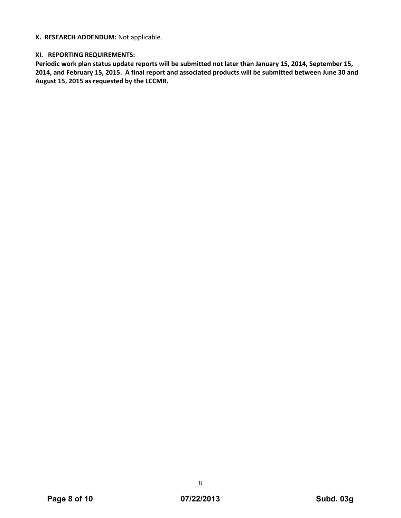## **X. RESEARCH ADDENDUM:** Not applicable.

## **XI. REPORTING REQUIREMENTS:**

**Periodic work plan status update reports will be submitted not later than January 15, 2014, September 15,** 2014, and February 15, 2015. A final report and associated products will be submitted between June 30 and **August 15, 2015 as requested by the LCCMR.**

8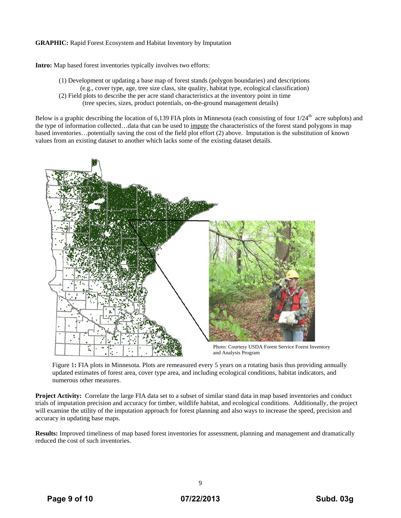#### **GRAPHIC:** Rapid Forest Ecosystem and Habitat Inventory by Imputation

**Intro:** Map based forest inventories typically involves two efforts:

(1) Development or updating a base map of forest stands (polygon boundaries) and descriptions (e.g., cover type, age, tree size class, site quality, habitat type, ecological classification) (2) Field plots to describe the per acre stand characteristics at the inventory point in time (tree species, sizes, product potentials, on-the-ground management details)

Below is a graphic describing the location of 6,139 FIA plots in Minnesota (each consisting of four  $1/24<sup>th</sup>$  acre subplots) and the type of information collected...data that can be used to impute the characteristics of the forest stand polygons in map based inventories…potentially saving the cost of the field plot effort (2) above. Imputation is the substitution of known values from an existing dataset to another which lacks some of the existing dataset details.



Figure 1: FIA plots in Minnesota. Plots are remeasured every 5 years on a rotating basis thus providing annually updated estimates of forest area, cover type area, and including ecological conditions, habitat indicators, and numerous other measures.

**Project Activity:** Correlate the large FIA data set to a subset of similar stand data in map based inventories and conduct trials of imputation precision and accuracy for timber, wildlife habitat, and ecological conditions. Additionally, the project will examine the utility of the imputation approach for forest planning and also ways to increase the speed, precision and accuracy in updating base maps.

**Results:** Improved timeliness of map based forest inventories for assessment, planning and management and dramatically reduced the cost of such inventories.

9